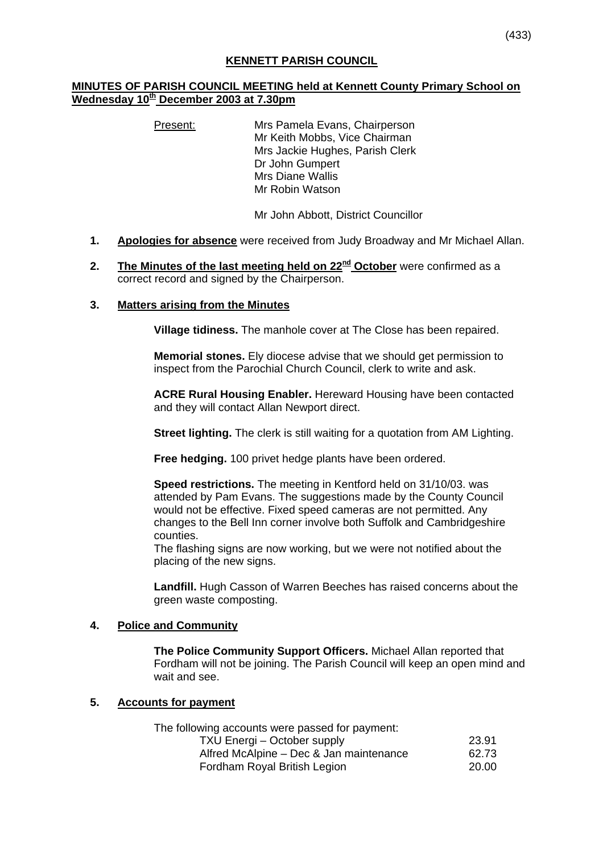# **MINUTES OF PARISH COUNCIL MEETING held at Kennett County Primary School on Wednesday 10th December 2003 at 7.30pm**

Present: Mrs Pamela Evans, Chairperson Mr Keith Mobbs, Vice Chairman Mrs Jackie Hughes, Parish Clerk Dr John Gumpert Mrs Diane Wallis Mr Robin Watson

Mr John Abbott, District Councillor

- **1. Apologies for absence** were received from Judy Broadway and Mr Michael Allan.
- **2.** The Minutes of the last meeting held on 22<sup>nd</sup> October were confirmed as a correct record and signed by the Chairperson.

### **3. Matters arising from the Minutes**

**Village tidiness.** The manhole cover at The Close has been repaired.

**Memorial stones.** Ely diocese advise that we should get permission to inspect from the Parochial Church Council, clerk to write and ask.

**ACRE Rural Housing Enabler.** Hereward Housing have been contacted and they will contact Allan Newport direct.

**Street lighting.** The clerk is still waiting for a quotation from AM Lighting.

**Free hedging.** 100 privet hedge plants have been ordered.

**Speed restrictions.** The meeting in Kentford held on 31/10/03. was attended by Pam Evans. The suggestions made by the County Council would not be effective. Fixed speed cameras are not permitted. Any changes to the Bell Inn corner involve both Suffolk and Cambridgeshire counties.

The flashing signs are now working, but we were not notified about the placing of the new signs.

**Landfill.** Hugh Casson of Warren Beeches has raised concerns about the green waste composting.

#### **4. Police and Community**

**The Police Community Support Officers.** Michael Allan reported that Fordham will not be joining. The Parish Council will keep an open mind and wait and see.

#### **5. Accounts for payment**

 The following accounts were passed for payment: TXU Energi – October supply 23.91 Alfred McAlpine – Dec & Jan maintenance 62.73 Fordham Royal British Legion 20.00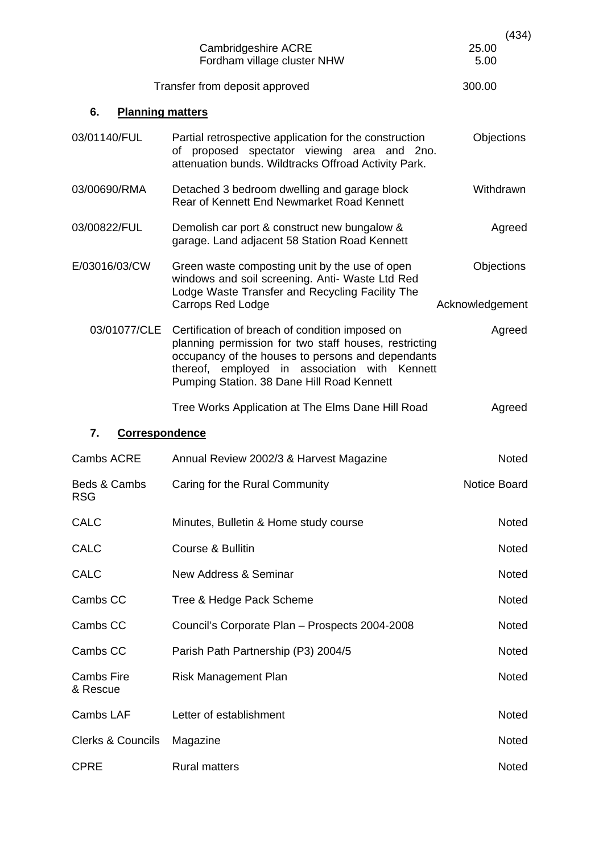|                               | Cambridgeshire ACRE<br>Fordham village cluster NHW                                                                                                                                                                                                           | (434)<br>25.00<br>5.00 |  |  |  |
|-------------------------------|--------------------------------------------------------------------------------------------------------------------------------------------------------------------------------------------------------------------------------------------------------------|------------------------|--|--|--|
|                               | Transfer from deposit approved                                                                                                                                                                                                                               | 300.00                 |  |  |  |
| <b>Planning matters</b><br>6. |                                                                                                                                                                                                                                                              |                        |  |  |  |
| 03/01140/FUL                  | Partial retrospective application for the construction<br>of proposed spectator viewing area and 2no.<br>attenuation bunds. Wildtracks Offroad Activity Park.                                                                                                | Objections             |  |  |  |
| 03/00690/RMA                  | Detached 3 bedroom dwelling and garage block<br>Rear of Kennett End Newmarket Road Kennett                                                                                                                                                                   | Withdrawn              |  |  |  |
| 03/00822/FUL                  | Demolish car port & construct new bungalow &<br>garage. Land adjacent 58 Station Road Kennett                                                                                                                                                                | Agreed                 |  |  |  |
| E/03016/03/CW                 | Green waste composting unit by the use of open<br>windows and soil screening. Anti- Waste Ltd Red<br>Lodge Waste Transfer and Recycling Facility The                                                                                                         | Objections             |  |  |  |
|                               | <b>Carrops Red Lodge</b>                                                                                                                                                                                                                                     | Acknowledgement        |  |  |  |
| 03/01077/CLE                  | Certification of breach of condition imposed on<br>planning permission for two staff houses, restricting<br>occupancy of the houses to persons and dependants<br>thereof, employed in association with Kennett<br>Pumping Station. 38 Dane Hill Road Kennett | Agreed                 |  |  |  |
|                               | Tree Works Application at The Elms Dane Hill Road                                                                                                                                                                                                            | Agreed                 |  |  |  |
| 7.<br><b>Correspondence</b>   |                                                                                                                                                                                                                                                              |                        |  |  |  |
| Cambs ACRE                    | Annual Review 2002/3 & Harvest Magazine                                                                                                                                                                                                                      | <b>Noted</b>           |  |  |  |
| Beds & Cambs<br><b>RSG</b>    | Caring for the Rural Community                                                                                                                                                                                                                               | Notice Board           |  |  |  |
| <b>CALC</b>                   | Minutes, Bulletin & Home study course                                                                                                                                                                                                                        | Noted                  |  |  |  |
| <b>CALC</b>                   | Course & Bullitin                                                                                                                                                                                                                                            | Noted                  |  |  |  |
| <b>CALC</b>                   | New Address & Seminar                                                                                                                                                                                                                                        | Noted                  |  |  |  |
| Cambs CC                      | Tree & Hedge Pack Scheme                                                                                                                                                                                                                                     | Noted                  |  |  |  |
| Cambs CC                      | Council's Corporate Plan - Prospects 2004-2008                                                                                                                                                                                                               | <b>Noted</b>           |  |  |  |
| Cambs CC                      | Parish Path Partnership (P3) 2004/5                                                                                                                                                                                                                          | Noted                  |  |  |  |
| <b>Cambs Fire</b><br>& Rescue | <b>Risk Management Plan</b>                                                                                                                                                                                                                                  | Noted                  |  |  |  |
| Cambs LAF                     | Letter of establishment                                                                                                                                                                                                                                      | Noted                  |  |  |  |
| <b>Clerks &amp; Councils</b>  | Magazine                                                                                                                                                                                                                                                     | Noted                  |  |  |  |
| <b>CPRE</b>                   | <b>Rural matters</b>                                                                                                                                                                                                                                         | Noted                  |  |  |  |